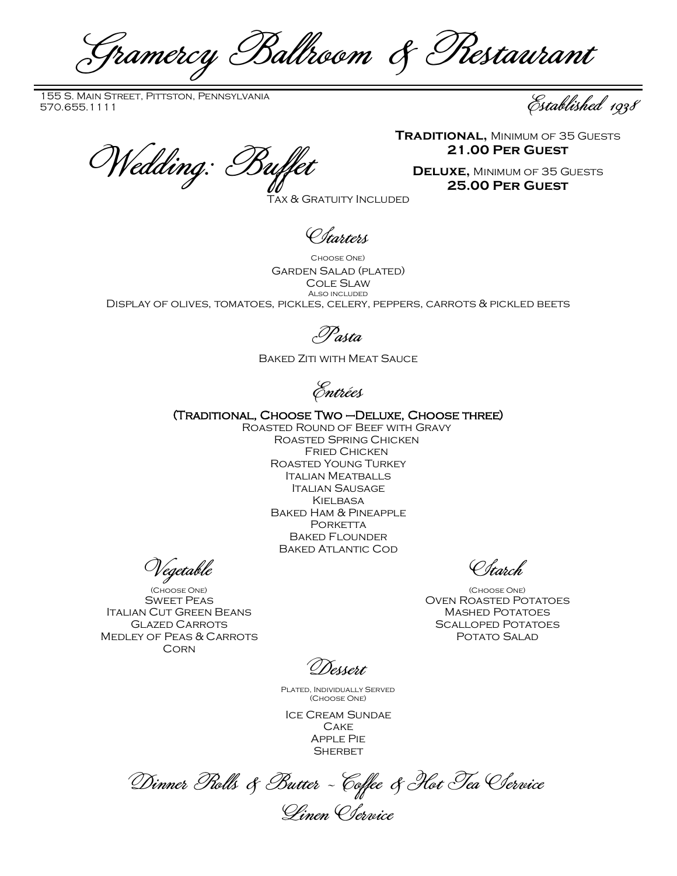Gramercy Ballroom & Restaurant

155 S. Main Street, Pittston, Pennsylvania 155 S. Main Street, Pittston, Pennsylvania<br>570.655.1111 Established 1938

Wedding: Buffet

**Traditional,** Minimum of 35 Guests **21.00 Per Guest**

**Deluxe,** Minimum of 35 Guests **25.00 Per Guest**

Tax & Gratuity Included

Starters

Choose One) Garden Salad (plated) Cole Slaw Also included Display of olives, tomatoes, pickles, celery, peppers, carrots & pickled beets

Pasta

Baked Ziti with Meat Sauce

Entrées

(Traditional, Choose Two –Deluxe, Choose three)

Roasted Round of Beef with Gravy Roasted Spring Chicken Fried Chicken Roasted Young Turkey Italian Meatballs Italian Sausage **KIELBASA** Baked Ham & Pineapple PORKETTA Baked Flounder Baked Atlantic Cod

Vegetable

(Choose One) **SWEET PEAS** Italian Cut Green Beans Glazed Carrots Medley of Peas & Carrots **CORN** 

Starch

(Choose One) Oven Roasted Potatoes Mashed Potatoes Scalloped Potatoes Potato Salad

Dessert

Plated, Individually Served (Choose One)

Ice Cream Sundae **CAKE** Apple Pie **SHERBET** 

Dinner Rolls & Butter ~ Coffee & Hot Tea Service Linen Service